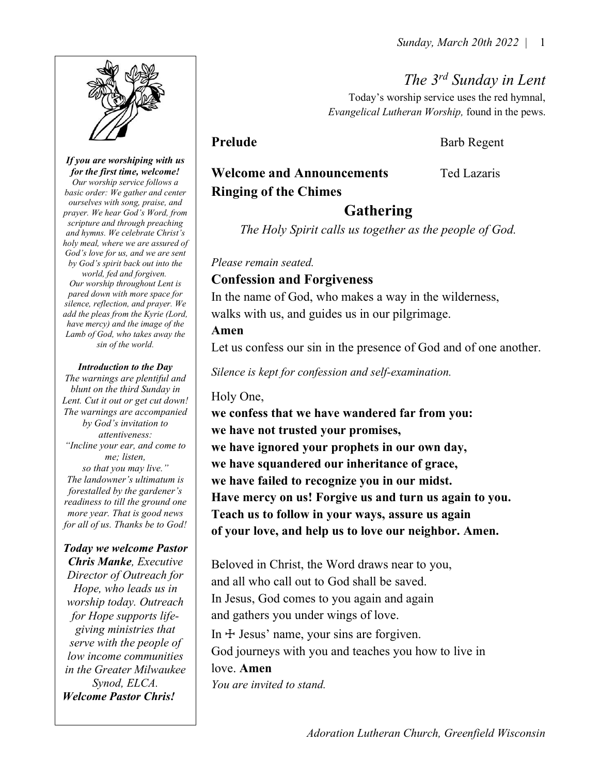

#### If you are worshiping with us for the first time, welcome!

Our worship service follows a basic order: We gather and center ourselves with song, praise, and prayer. We hear God's Word, from scripture and through preaching and hymns. We celebrate Christ's holy meal, where we are assured of God's love for us, and we are sent by God's spirit back out into the world, fed and forgiven. Our worship throughout Lent is pared down with more space for silence, reflection, and prayer. We add the pleas from the Kyrie (Lord, have mercy) and the image of the Lamb of God, who takes away the sin of the world.

#### Introduction to the Day

The warnings are plentiful and blunt on the third Sunday in Lent. Cut it out or get cut down! The warnings are accompanied by God's invitation to attentiveness: "Incline your ear, and come to me; listen, so that you may live." The landowner's ultimatum is forestalled by the gardener's readiness to till the ground one more year. That is good news for all of us. Thanks be to God!

#### Today we welcome Pastor

Chris Manke, Executive Director of Outreach for Hope, who leads us in worship today. Outreach for Hope supports lifegiving ministries that serve with the people of low income communities in the Greater Milwaukee Synod, ELCA. Welcome Pastor Chris!

The 3rd Sunday in Lent

Today's worship service uses the red hymnal, Evangelical Lutheran Worship, found in the pews.

Prelude Barb Regent

# Welcome and Announcements Ted Lazaris Ringing of the Chimes

## Gathering

The Holy Spirit calls us together as the people of God.

#### Please remain seated.

#### Confession and Forgiveness

In the name of God, who makes a way in the wilderness, walks with us, and guides us in our pilgrimage.

#### Amen

Let us confess our sin in the presence of God and of one another.

Silence is kept for confession and self-examination.

#### Holy One,

we confess that we have wandered far from you: we have not trusted your promises, we have ignored your prophets in our own day, we have squandered our inheritance of grace, we have failed to recognize you in our midst. Have mercy on us! Forgive us and turn us again to you. Teach us to follow in your ways, assure us again of your love, and help us to love our neighbor. Amen.

Beloved in Christ, the Word draws near to you, and all who call out to God shall be saved. In Jesus, God comes to you again and again and gathers you under wings of love. In  $+$  Jesus' name, your sins are forgiven. God journeys with you and teaches you how to live in love. Amen You are invited to stand.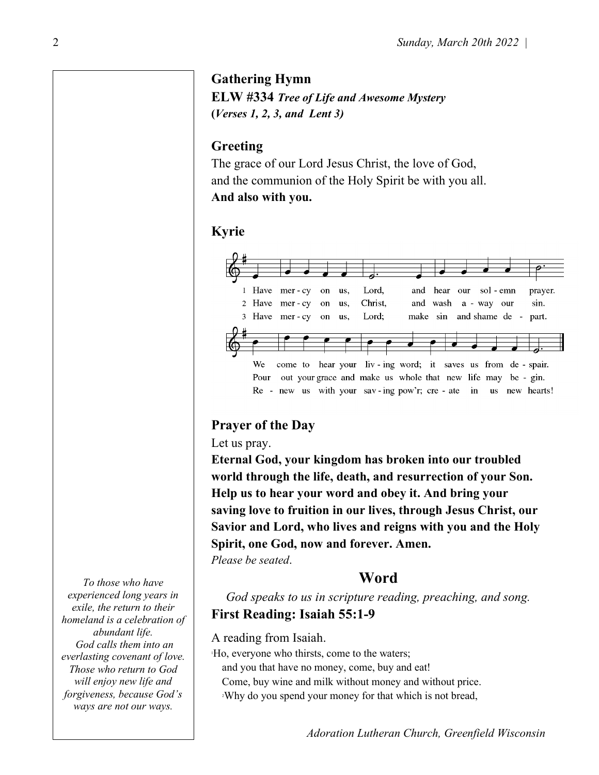#### Gathering Hymn

ELW #334 Tree of Life and Awesome Mystery (Verses 1, 2, 3, and Lent 3)

#### Greeting

The grace of our Lord Jesus Christ, the love of God, and the communion of the Holy Spirit be with you all. And also with you.

#### Kyrie



#### Prayer of the Day

Let us pray.

Eternal God, your kingdom has broken into our troubled world through the life, death, and resurrection of your Son. Help us to hear your word and obey it. And bring your saving love to fruition in our lives, through Jesus Christ, our Savior and Lord, who lives and reigns with you and the Holy Spirit, one God, now and forever. Amen.

Please be seated.

#### Word

God speaks to us in scripture reading, preaching, and song. First Reading: Isaiah 55:1-9

A reading from Isaiah.

<sup>1</sup>Ho, everyone who thirsts, come to the waters; and you that have no money, come, buy and eat! Come, buy wine and milk without money and without price. <sup>2</sup>Why do you spend your money for that which is not bread,

To those who have experienced long years in exile, the return to their homeland is a celebration of abundant life. God calls them into an everlasting covenant of love. Those who return to God will enjoy new life and forgiveness, because God's ways are not our ways.

2

Adoration Lutheran Church, Greenfield Wisconsin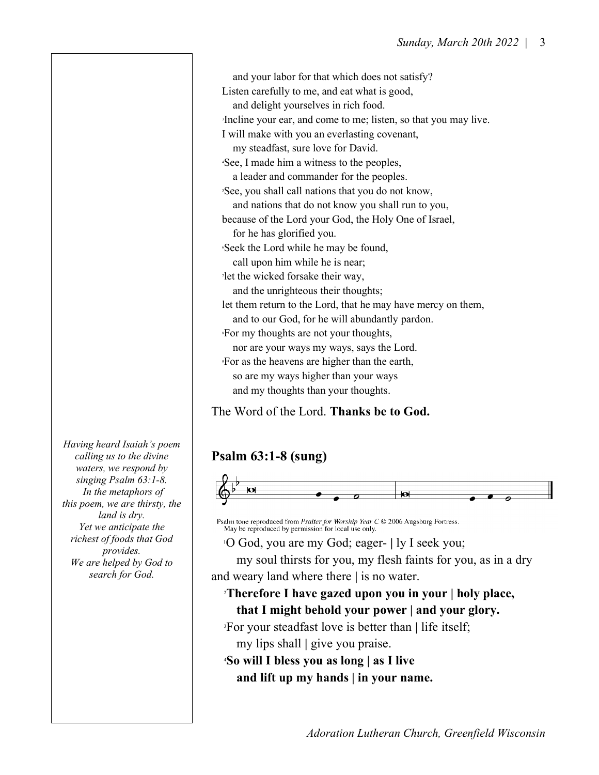Listen carefully to me, and eat what is good, and delight yourselves in rich food. <sup>3</sup>Incline your ear, and come to me; listen, so that you may live. I will make with you an everlasting covenant, my steadfast, sure love for David. <sup>4</sup>See, I made him a witness to the peoples, a leader and commander for the peoples. <sup>5</sup>See, you shall call nations that you do not know, and nations that do not know you shall run to you, because of the Lord your God, the Holy One of Israel, for he has glorified you. <sup>6</sup>Seek the Lord while he may be found, call upon him while he is near; <sup>7</sup>let the wicked forsake their way, and the unrighteous their thoughts; let them return to the Lord, that he may have mercy on them, and to our God, for he will abundantly pardon. <sup>8</sup>For my thoughts are not your thoughts, nor are your ways my ways, says the Lord. <sup>9</sup>For as the heavens are higher than the earth, so are my ways higher than your ways and my thoughts than your thoughts.

and your labor for that which does not satisfy?

The Word of the Lord. Thanks be to God.

# Psalm 63:1-8 (sung)



Psalm tone reproduced from Psalter for Worship Year C © 2006 Augsburg Fortress. May be reproduced by permission for local use only.

<sup>1</sup>O God, you are my God; eager- | ly I seek you;

 my soul thirsts for you, my flesh faints for you, as in a dry and weary land where there | is no water.

<sup>2</sup>Therefore I have gazed upon you in your | holy place, that I might behold your power | and your glory.

<sup>3</sup>For your steadfast love is better than | life itself;

my lips shall | give you praise.

<sup>4</sup>So will I bless you as long | as I live and lift up my hands | in your name.

Having heard Isaiah's poem calling us to the divine waters, we respond by singing Psalm 63:1-8. In the metaphors of this poem, we are thirsty, the land is dry. Yet we anticipate the richest of foods that God provides. We are helped by God to search for God.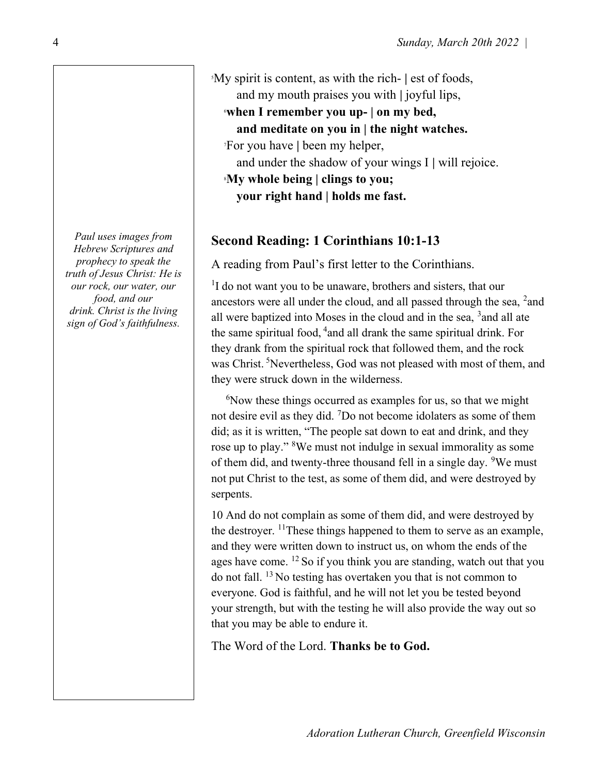Paul uses images from Hebrew Scriptures and prophecy to speak the truth of Jesus Christ: He is our rock, our water, our food, and our drink. Christ is the living sign of God's faithfulness.

<sup>5</sup>My spirit is content, as with the rich- | est of foods, and my mouth praises you with | joyful lips,

<sup>6</sup>when I remember you up- | on my bed,

and meditate on you in | the night watches.

<sup>7</sup>For you have | been my helper,

and under the shadow of your wings I | will rejoice.

<sup>8</sup>My whole being | clings to you; your right hand | holds me fast.

# Second Reading: 1 Corinthians 10:1-13

A reading from Paul's first letter to the Corinthians.

<sup>1</sup>I do not want you to be unaware, brothers and sisters, that our ancestors were all under the cloud, and all passed through the sea,  $^2$  and all were baptized into Moses in the cloud and in the sea,  $3$  and all ate the same spiritual food,  $4$  and all drank the same spiritual drink. For they drank from the spiritual rock that followed them, and the rock was Christ.<sup>5</sup>Nevertheless, God was not pleased with most of them, and they were struck down in the wilderness.

<sup>6</sup>Now these things occurred as examples for us, so that we might not desire evil as they did. <sup>7</sup>Do not become idolaters as some of them did; as it is written, "The people sat down to eat and drink, and they rose up to play."<sup>8</sup>We must not indulge in sexual immorality as some of them did, and twenty-three thousand fell in a single day. <sup>9</sup>We must not put Christ to the test, as some of them did, and were destroyed by serpents.

10 And do not complain as some of them did, and were destroyed by the destroyer.  $\frac{11}{11}$  These things happened to them to serve as an example, and they were written down to instruct us, on whom the ends of the ages have come.  $^{12}$  So if you think you are standing, watch out that you do not fall. <sup>13</sup>No testing has overtaken you that is not common to everyone. God is faithful, and he will not let you be tested beyond your strength, but with the testing he will also provide the way out so that you may be able to endure it.

The Word of the Lord. Thanks be to God.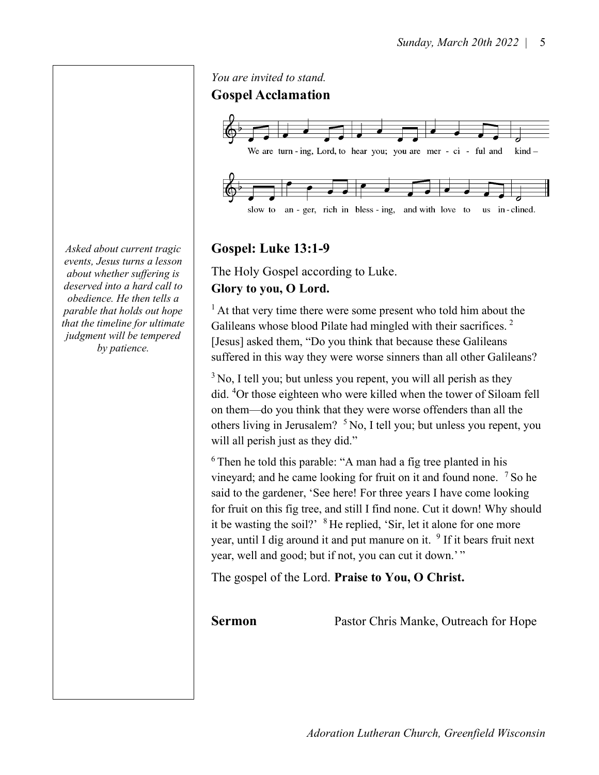Gospel Acclamation We are turn-ing, Lord, to hear you; you are mer - ci - ful and  $\operatorname{kind}$ slow to an - ger, rich in bless - ing, and with love to us in-clined.

## Gospel: Luke 13:1-9

You are invited to stand.

The Holy Gospel according to Luke. Glory to you, O Lord.

 $<sup>1</sup>$  At that very time there were some present who told him about the</sup> Galileans whose blood Pilate had mingled with their sacrifices.<sup>2</sup> [Jesus] asked them, "Do you think that because these Galileans suffered in this way they were worse sinners than all other Galileans?

 $3$  No, I tell you; but unless you repent, you will all perish as they did. <sup>4</sup>Or those eighteen who were killed when the tower of Siloam fell on them—do you think that they were worse offenders than all the others living in Jerusalem? <sup>5</sup>No, I tell you; but unless you repent, you will all perish just as they did."

 $6$ Then he told this parable: "A man had a fig tree planted in his vineyard; and he came looking for fruit on it and found none. <sup>7</sup> So he said to the gardener, 'See here! For three years I have come looking for fruit on this fig tree, and still I find none. Cut it down! Why should it be wasting the soil?' <sup>8</sup>He replied, 'Sir, let it alone for one more year, until I dig around it and put manure on it.  $9$  If it bears fruit next year, well and good; but if not, you can cut it down.'"

The gospel of the Lord. Praise to You, O Christ.

Sermon Pastor Chris Manke, Outreach for Hope

Asked about current tragic events, Jesus turns a lesson about whether suffering is deserved into a hard call to obedience. He then tells a parable that holds out hope that the timeline for ultimate judgment will be tempered by patience.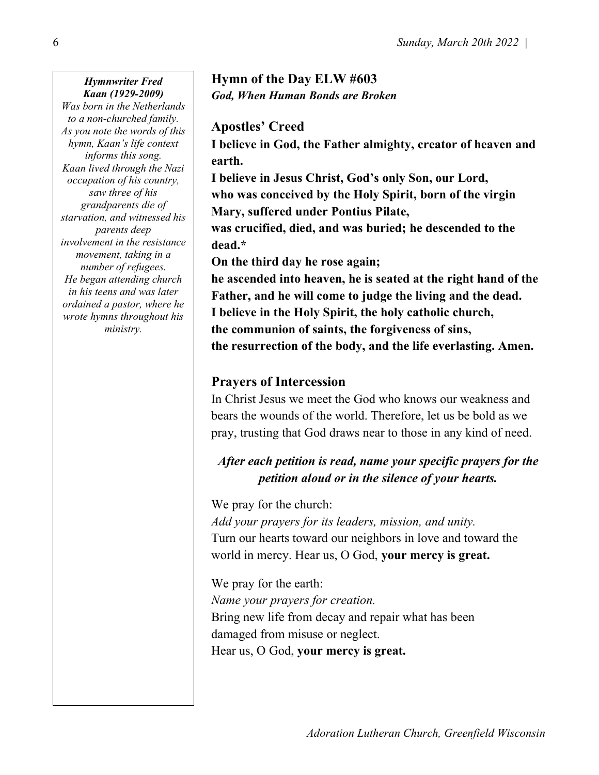#### Hymnwriter Fred Kaan (1929-2009)

Was born in the Netherlands to a non-churched family. As you note the words of this hymn, Kaan's life context informs this song. Kaan lived through the Nazi occupation of his country, saw three of his grandparents die of starvation, and witnessed his parents deep involvement in the resistance movement, taking in a number of refugees. He began attending church in his teens and was later ordained a pastor, where he wrote hymns throughout his ministry.

# Hymn of the Day ELW #603 God, When Human Bonds are Broken

#### Apostles' Creed

I believe in God, the Father almighty, creator of heaven and earth.

I believe in Jesus Christ, God's only Son, our Lord, who was conceived by the Holy Spirit, born of the virgin Mary, suffered under Pontius Pilate,

was crucified, died, and was buried; he descended to the dead.\*

On the third day he rose again;

he ascended into heaven, he is seated at the right hand of the Father, and he will come to judge the living and the dead. I believe in the Holy Spirit, the holy catholic church, the communion of saints, the forgiveness of sins, the resurrection of the body, and the life everlasting. Amen.

## Prayers of Intercession

In Christ Jesus we meet the God who knows our weakness and bears the wounds of the world. Therefore, let us be bold as we pray, trusting that God draws near to those in any kind of need.

# After each petition is read, name your specific prayers for the petition aloud or in the silence of your hearts.

We pray for the church:

Add your prayers for its leaders, mission, and unity. Turn our hearts toward our neighbors in love and toward the world in mercy. Hear us, O God, your mercy is great.

We pray for the earth: Name your prayers for creation. Bring new life from decay and repair what has been damaged from misuse or neglect. Hear us, O God, your mercy is great.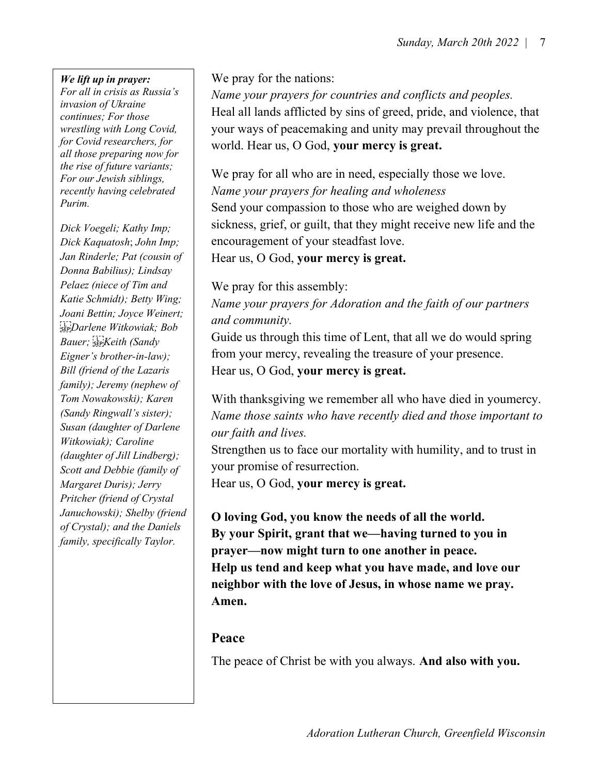#### We lift up in prayer:

For all in crisis as Russia's invasion of Ukraine continues; For those wrestling with Long Covid, for Covid researchers, for all those preparing now for the rise of future variants; For our Jewish siblings, recently having celebrated Purim.

Dick Voegeli; Kathy Imp; Dick Kaquatosh; John Imp; Jan Rinderle; Pat (cousin of Donna Babilius); Lindsay Pelaez (niece of Tim and Katie Schmidt); Betty Wing; Joani Bettin; Joyce Weinert; Darlene Witkowiak; Bob Bauer; SEPKeith (Sandy Eigner's brother-in-law); Bill (friend of the Lazaris family); Jeremy (nephew of Tom Nowakowski); Karen (Sandy Ringwall's sister); Susan (daughter of Darlene Witkowiak); Caroline (daughter of Jill Lindberg); Scott and Debbie (family of Margaret Duris); Jerry Pritcher (friend of Crystal Januchowski); Shelby (friend of Crystal); and the Daniels family, specifically Taylor.

We pray for the nations:

Name your prayers for countries and conflicts and peoples. Heal all lands afflicted by sins of greed, pride, and violence, that your ways of peacemaking and unity may prevail throughout the world. Hear us, O God, your mercy is great.

We pray for all who are in need, especially those we love. Name your prayers for healing and wholeness Send your compassion to those who are weighed down by sickness, grief, or guilt, that they might receive new life and the encouragement of your steadfast love. Hear us, O God, your mercy is great.

We pray for this assembly:

Name your prayers for Adoration and the faith of our partners and community.

Guide us through this time of Lent, that all we do would spring from your mercy, revealing the treasure of your presence. Hear us, O God, your mercy is great.

With thanksgiving we remember all who have died in youmercy. Name those saints who have recently died and those important to our faith and lives.

Strengthen us to face our mortality with humility, and to trust in your promise of resurrection.

Hear us, O God, your mercy is great.

O loving God, you know the needs of all the world. By your Spirit, grant that we—having turned to you in prayer—now might turn to one another in peace. Help us tend and keep what you have made, and love our neighbor with the love of Jesus, in whose name we pray. Amen.

#### Peace

The peace of Christ be with you always. And also with you.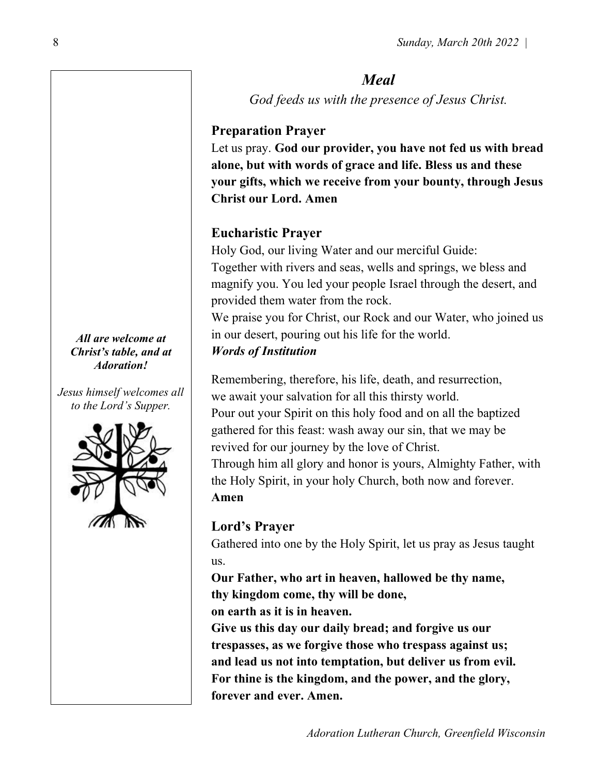# Meal

God feeds us with the presence of Jesus Christ.

## Preparation Prayer

Let us pray. God our provider, you have not fed us with bread alone, but with words of grace and life. Bless us and these your gifts, which we receive from your bounty, through Jesus Christ our Lord. Amen

# Eucharistic Prayer

Holy God, our living Water and our merciful Guide: Together with rivers and seas, wells and springs, we bless and magnify you. You led your people Israel through the desert, and provided them water from the rock.

We praise you for Christ, our Rock and our Water, who joined us in our desert, pouring out his life for the world.

## Words of Institution

Remembering, therefore, his life, death, and resurrection, we await your salvation for all this thirsty world.

Pour out your Spirit on this holy food and on all the baptized gathered for this feast: wash away our sin, that we may be revived for our journey by the love of Christ.

Through him all glory and honor is yours, Almighty Father, with the Holy Spirit, in your holy Church, both now and forever. Amen

# Lord's Prayer

Gathered into one by the Holy Spirit, let us pray as Jesus taught us.

Our Father, who art in heaven, hallowed be thy name, thy kingdom come, thy will be done,

on earth as it is in heaven.

Give us this day our daily bread; and forgive us our trespasses, as we forgive those who trespass against us; and lead us not into temptation, but deliver us from evil. For thine is the kingdom, and the power, and the glory, forever and ever. Amen.

All are welcome at Christ's table, and at Adoration!

Jesus himself welcomes all to the Lord's Supper.

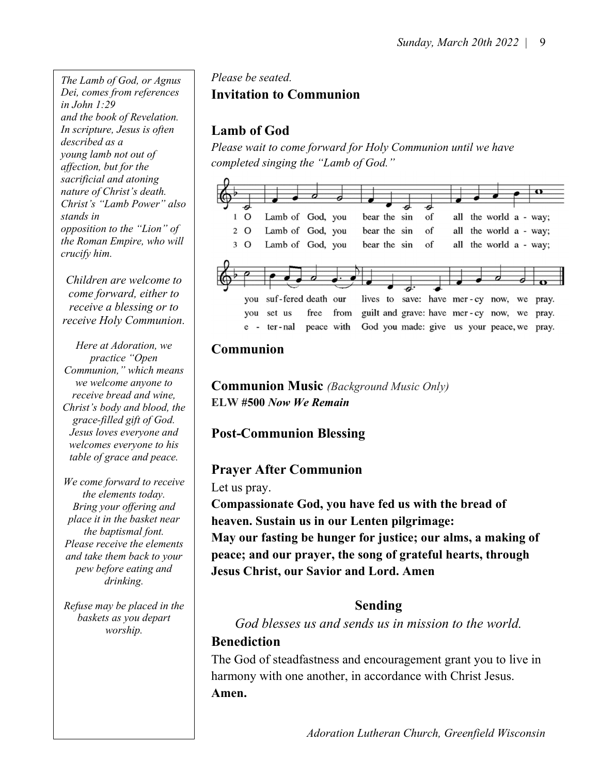The Lamb of God, or Agnus Dei, comes from references in John 1:29 and the book of Revelation. In scripture, Jesus is often described as a young lamb not out of affection, but for the sacrificial and atoning nature of Christ's death. Christ's "Lamb Power" also stands in opposition to the "Lion" of the Roman Empire, who will crucify him.

Children are welcome to come forward, either to receive a blessing or to receive Holy Communion.

Here at Adoration, we practice "Open Communion," which means we welcome anyone to receive bread and wine, Christ's body and blood, the grace-filled gift of God. Jesus loves everyone and welcomes everyone to his table of grace and peace.

We come forward to receive the elements today. Bring your offering and place it in the basket near the baptismal font. Please receive the elements and take them back to your pew before eating and drinking.

Refuse may be placed in the baskets as you depart worship.

# Please be seated. Invitation to Communion

# Lamb of God

Please wait to come forward for Holy Communion until we have completed singing the "Lamb of God."



# Communion

**Communion Music** (Background Music Only) ELW #500 Now We Remain

# Post-Communion Blessing

## Prayer After Communion

Let us pray.

Compassionate God, you have fed us with the bread of heaven. Sustain us in our Lenten pilgrimage: May our fasting be hunger for justice; our alms, a making of peace; and our prayer, the song of grateful hearts, through Jesus Christ, our Savior and Lord. Amen

## Sending

God blesses us and sends us in mission to the world.

# Benediction

The God of steadfastness and encouragement grant you to live in harmony with one another, in accordance with Christ Jesus. Amen.